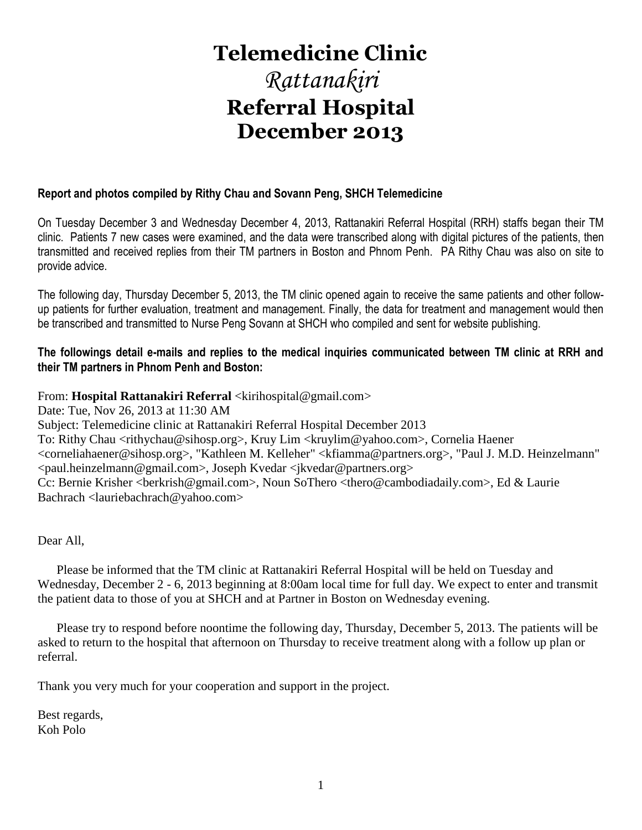# **Telemedicine Clinic**

# *Rattanakiri* **Referral Hospital December 2013**

# **Report and photos compiled by Rithy Chau and Sovann Peng, SHCH Telemedicine**

On Tuesday December 3 and Wednesday December 4, 2013, Rattanakiri Referral Hospital (RRH) staffs began their TM clinic. Patients 7 new cases were examined, and the data were transcribed along with digital pictures of the patients, then transmitted and received replies from their TM partners in Boston and Phnom Penh. PA Rithy Chau was also on site to provide advice.

The following day, Thursday December 5, 2013, the TM clinic opened again to receive the same patients and other followup patients for further evaluation, treatment and management. Finally, the data for treatment and management would then be transcribed and transmitted to Nurse Peng Sovann at SHCH who compiled and sent for website publishing.

# **The followings detail e-mails and replies to the medical inquiries communicated between TM clinic at RRH and their TM partners in Phnom Penh and Boston:**

# From: **Hospital Rattanakiri Referral** <kirihospital@gmail.com>

Date: Tue, Nov 26, 2013 at 11:30 AM Subject: Telemedicine clinic at Rattanakiri Referral Hospital December 2013 To: Rithy Chau <rithychau@sihosp.org>, Kruy Lim <kruylim@yahoo.com>, Cornelia Haener <corneliahaener@sihosp.org>, "Kathleen M. Kelleher" <kfiamma@partners.org>, "Paul J. M.D. Heinzelmann" <paul.heinzelmann@gmail.com>, Joseph Kvedar <jkvedar@partners.org> Cc: Bernie Krisher <br/> <br/>berkrish@gmail.com>, Noun SoThero <thero@cambodiadaily.com>, Ed & Laurie Bachrach <lauriebachrach@yahoo.com>

Dear All,

 Please be informed that the TM clinic at Rattanakiri Referral Hospital will be held on Tuesday and Wednesday, December 2 - 6, 2013 beginning at 8:00am local time for full day. We expect to enter and transmit the patient data to those of you at SHCH and at Partner in Boston on Wednesday evening.

 Please try to respond before noontime the following day, Thursday, December 5, 2013. The patients will be asked to return to the hospital that afternoon on Thursday to receive treatment along with a follow up plan or referral.

Thank you very much for your cooperation and support in the project.

Best regards, Koh Polo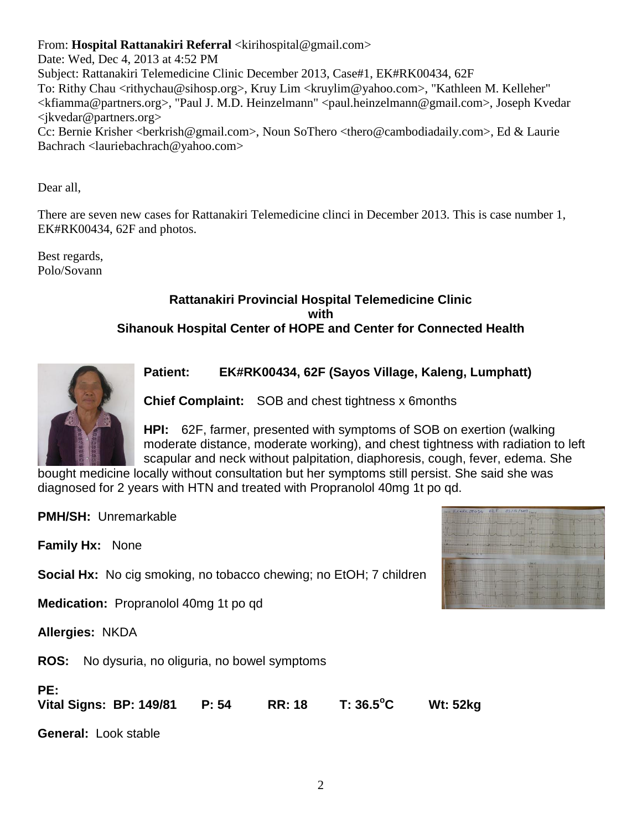From: **Hospital Rattanakiri Referral** <kirihospital@gmail.com>

Date: Wed, Dec 4, 2013 at 4:52 PM

Subject: Rattanakiri Telemedicine Clinic December 2013, Case#1, EK#RK00434, 62F To: Rithy Chau <rithychau@sihosp.org>, Kruy Lim <kruylim@yahoo.com>, "Kathleen M. Kelleher" <kfiamma@partners.org>, "Paul J. M.D. Heinzelmann" <paul.heinzelmann@gmail.com>, Joseph Kvedar <jkvedar@partners.org>

Cc: Bernie Krisher <berkrish@gmail.com>, Noun SoThero <thero@cambodiadaily.com>, Ed & Laurie Bachrach <lauriebachrach@yahoo.com>

Dear all,

There are seven new cases for Rattanakiri Telemedicine clinci in December 2013. This is case number 1, EK#RK00434, 62F and photos.

Best regards, Polo/Sovann

# **Rattanakiri Provincial Hospital Telemedicine Clinic with Sihanouk Hospital Center of HOPE and Center for Connected Health**



**Patient: EK#RK00434, 62F (Sayos Village, Kaleng, Lumphatt)** 

**Chief Complaint:** SOB and chest tightness x 6months

**HPI:** 62F, farmer, presented with symptoms of SOB on exertion (walking moderate distance, moderate working), and chest tightness with radiation to left scapular and neck without palpitation, diaphoresis, cough, fever, edema. She

bought medicine locally without consultation but her symptoms still persist. She said she was diagnosed for 2 years with HTN and treated with Propranolol 40mg 1t po qd.

**PMH/SH:** Unremarkable

**Family Hx:** None

**Social Hx:** No cig smoking, no tobacco chewing; no EtOH; 7 children

**Medication:** Propranolol 40mg 1t po qd

**Allergies:** NKDA

**ROS:** No dysuria, no oliguria, no bowel symptoms

# **PE: Vital Signs: BP: 149/81 P: 54 RR: 18 T: 36.5<sup>o</sup>C Wt: 52kg**

**General:** Look stable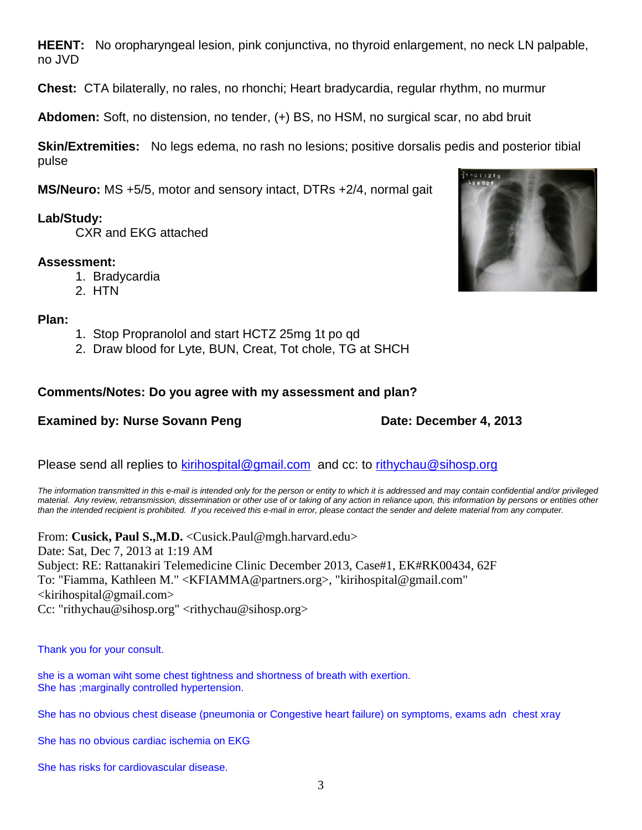**HEENT:** No oropharyngeal lesion, pink conjunctiva, no thyroid enlargement, no neck LN palpable, no JVD

**Chest:** CTA bilaterally, no rales, no rhonchi; Heart bradycardia, regular rhythm, no murmur

**Abdomen:** Soft, no distension, no tender, (+) BS, no HSM, no surgical scar, no abd bruit

**Skin/Extremities:** No legs edema, no rash no lesions; positive dorsalis pedis and posterior tibial pulse

**MS/Neuro:** MS +5/5, motor and sensory intact, DTRs +2/4, normal gait

# **Lab/Study:**

CXR and EKG attached

# **Assessment:**

- 1. Bradycardia
- 2. HTN

# **Plan:**

- 1. Stop Propranolol and start HCTZ 25mg 1t po qd
- 2. Draw blood for Lyte, BUN, Creat, Tot chole, TG at SHCH

# **Comments/Notes: Do you agree with my assessment and plan?**

# **Examined by: Nurse Sovann Peng Date: December 4, 2013**

Please send all replies to [kirihospital@gmail.com](mailto:kirihospital@gmail.com) and cc: to [rithychau@sihosp.org](mailto:rithychau@sihosp.org)

*The information transmitted in this e-mail is intended only for the person or entity to which it is addressed and may contain confidential and/or privileged material. Any review, retransmission, dissemination or other use of or taking of any action in reliance upon, this information by persons or entities other than the intended recipient is prohibited. If you received this e-mail in error, please contact the sender and delete material from any computer.*

From: **Cusick, Paul S.,M.D.** <Cusick.Paul@mgh.harvard.edu> Date: Sat, Dec 7, 2013 at 1:19 AM Subject: RE: Rattanakiri Telemedicine Clinic December 2013, Case#1, EK#RK00434, 62F To: "Fiamma, Kathleen M." <KFIAMMA@partners.org>, "kirihospital@gmail.com"  $\le$ kirihospital@gmail.com> Cc: "rithychau@sihosp.org" <rithychau@sihosp.org>

Thank you for your consult.

she is a woman wiht some chest tightness and shortness of breath with exertion. She has ;marginally controlled hypertension.

She has no obvious chest disease (pneumonia or Congestive heart failure) on symptoms, exams adn chest xray

She has no obvious cardiac ischemia on EKG

She has risks for cardiovascular disease.

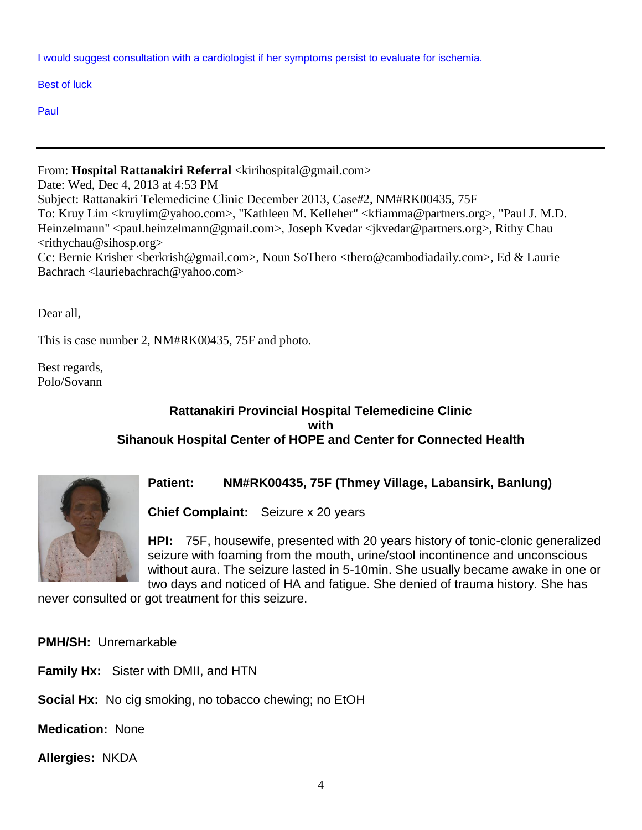I would suggest consultation with a cardiologist if her symptoms persist to evaluate for ischemia.

Best of luck

Paul

From: Hospital Rattanakiri Referral <kirihospital@gmail.com> Date: Wed, Dec 4, 2013 at 4:53 PM Subject: Rattanakiri Telemedicine Clinic December 2013, Case#2, NM#RK00435, 75F To: Kruy Lim <kruylim@yahoo.com>, "Kathleen M. Kelleher" <kfiamma@partners.org>, "Paul J. M.D. Heinzelmann" <paul.heinzelmann@gmail.com>, Joseph Kvedar <jkvedar@partners.org>, Rithy Chau  $\langle$ rithychau@sihosp.org> Cc: Bernie Krisher <br/>berkrish@gmail.com>, Noun SoThero <thero@cambodiadaily.com>, Ed & Laurie Bachrach <lauriebachrach@yahoo.com>

Dear all,

This is case number 2, NM#RK00435, 75F and photo.

Best regards, Polo/Sovann

# **Rattanakiri Provincial Hospital Telemedicine Clinic with Sihanouk Hospital Center of HOPE and Center for Connected Health**



**Patient: NM#RK00435, 75F (Thmey Village, Labansirk, Banlung)** 

**Chief Complaint:** Seizure x 20 years

**HPI:** 75F, housewife, presented with 20 years history of tonic-clonic generalized seizure with foaming from the mouth, urine/stool incontinence and unconscious without aura. The seizure lasted in 5-10min. She usually became awake in one or two days and noticed of HA and fatigue. She denied of trauma history. She has

never consulted or got treatment for this seizure.

**PMH/SH:** Unremarkable

**Family Hx:** Sister with DMII, and HTN

**Social Hx:** No cig smoking, no tobacco chewing; no EtOH

**Medication:** None

**Allergies:** NKDA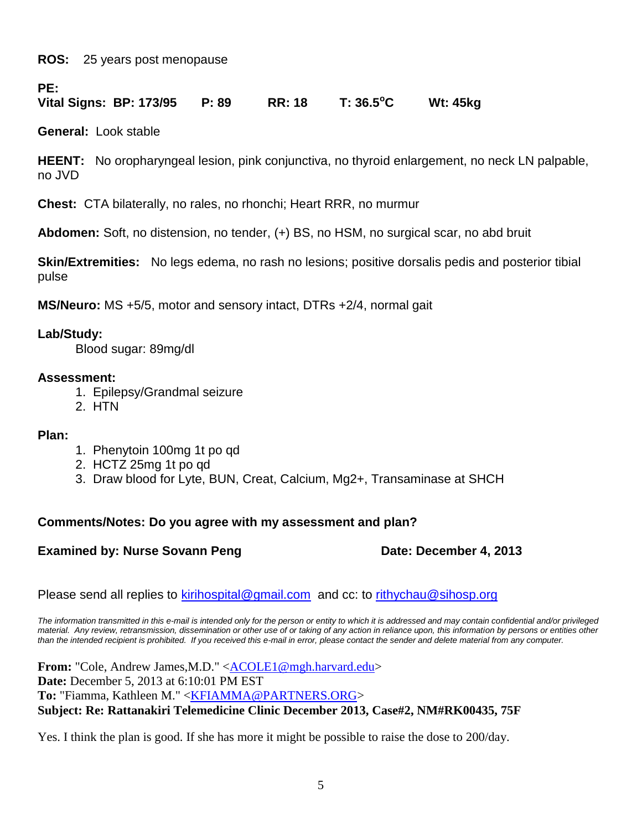**ROS:** 25 years post menopause

**PE:**

# **Vital Signs: BP: 173/95 P: 89 RR: 18 T: 36.5<sup>o</sup>C Wt: 45kg**

**General:** Look stable

**HEENT:** No oropharyngeal lesion, pink conjunctiva, no thyroid enlargement, no neck LN palpable, no JVD

**Chest:** CTA bilaterally, no rales, no rhonchi; Heart RRR, no murmur

**Abdomen:** Soft, no distension, no tender, (+) BS, no HSM, no surgical scar, no abd bruit

**Skin/Extremities:** No legs edema, no rash no lesions; positive dorsalis pedis and posterior tibial pulse

**MS/Neuro:** MS +5/5, motor and sensory intact, DTRs +2/4, normal gait

# **Lab/Study:**

Blood sugar: 89mg/dl

# **Assessment:**

- 1. Epilepsy/Grandmal seizure
- 2. HTN

# **Plan:**

- 1. Phenytoin 100mg 1t po qd
- 2. HCTZ 25mg 1t po qd
- 3. Draw blood for Lyte, BUN, Creat, Calcium, Mg2+, Transaminase at SHCH

# **Comments/Notes: Do you agree with my assessment and plan?**

# **Examined by: Nurse Sovann Peng Date: December 4, 2013**

Please send all replies to [kirihospital@gmail.com](mailto:kirihospital@gmail.com) and cc: to [rithychau@sihosp.org](mailto:rithychau@sihosp.org)

*The information transmitted in this e-mail is intended only for the person or entity to which it is addressed and may contain confidential and/or privileged material. Any review, retransmission, dissemination or other use of or taking of any action in reliance upon, this information by persons or entities other than the intended recipient is prohibited. If you received this e-mail in error, please contact the sender and delete material from any computer.*

**From:** "Cole, Andrew James, M.D." < ACOLE1@mgh.harvard.edu> **Date:** December 5, 2013 at 6:10:01 PM EST **To:** "Fiamma, Kathleen M." [<KFIAMMA@PARTNERS.ORG>](mailto:KFIAMMA@PARTNERS.ORG) **Subject: Re: Rattanakiri Telemedicine Clinic December 2013, Case#2, NM#RK00435, 75F**

Yes. I think the plan is good. If she has more it might be possible to raise the dose to 200/day.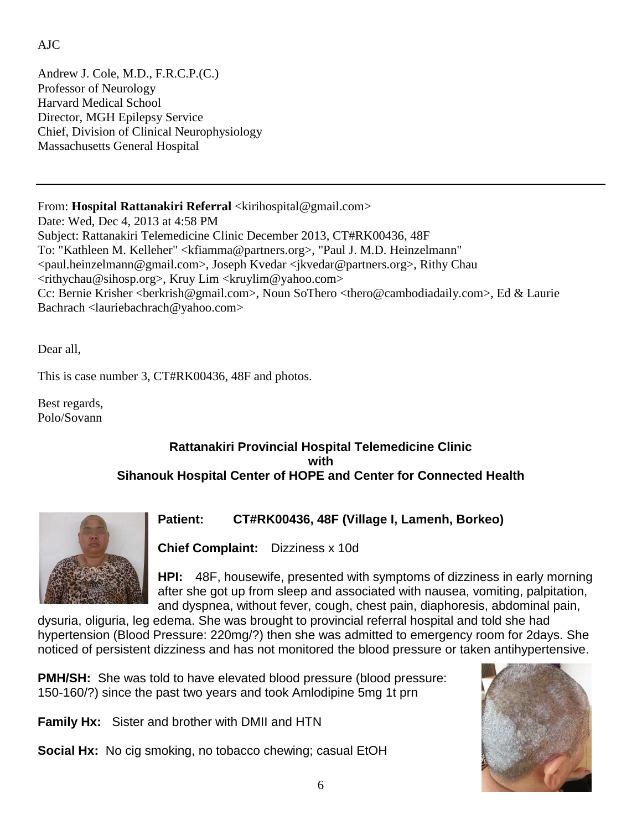# AJC

Andrew J. Cole, M.D., F.R.C.P.(C.) Professor of Neurology Harvard Medical School Director, MGH Epilepsy Service Chief, Division of Clinical Neurophysiology Massachusetts General Hospital

# From: Hospital Rattanakiri Referral <kirihospital@gmail.com>

Date: Wed, Dec 4, 2013 at 4:58 PM Subject: Rattanakiri Telemedicine Clinic December 2013, CT#RK00436, 48F To: "Kathleen M. Kelleher" <kfiamma@partners.org>, "Paul J. M.D. Heinzelmann" <paul.heinzelmann@gmail.com>, Joseph Kvedar <jkvedar@partners.org>, Rithy Chau  $\langle$ rithychau@sihosp.org>, Kruy Lim  $\langle$ kruylim@yahoo.com> Cc: Bernie Krisher <berkrish@gmail.com>, Noun SoThero <thero@cambodiadaily.com>, Ed & Laurie Bachrach <lauriebachrach@yahoo.com>

Dear all,

This is case number 3, CT#RK00436, 48F and photos.

Best regards, Polo/Sovann

# **Rattanakiri Provincial Hospital Telemedicine Clinic with Sihanouk Hospital Center of HOPE and Center for Connected Health**



**Patient: CT#RK00436, 48F (Village I, Lamenh, Borkeo)** 

**Chief Complaint:** Dizziness x 10d

**HPI:** 48F, housewife, presented with symptoms of dizziness in early morning after she got up from sleep and associated with nausea, vomiting, palpitation, and dyspnea, without fever, cough, chest pain, diaphoresis, abdominal pain,

dysuria, oliguria, leg edema. She was brought to provincial referral hospital and told she had hypertension (Blood Pressure: 220mg/?) then she was admitted to emergency room for 2days. She noticed of persistent dizziness and has not monitored the blood pressure or taken antihypertensive.

**PMH/SH:** She was told to have elevated blood pressure (blood pressure: 150-160/?) since the past two years and took Amlodipine 5mg 1t prn

**Family Hx:** Sister and brother with DMII and HTN

**Social Hx:** No cig smoking, no tobacco chewing; casual EtOH

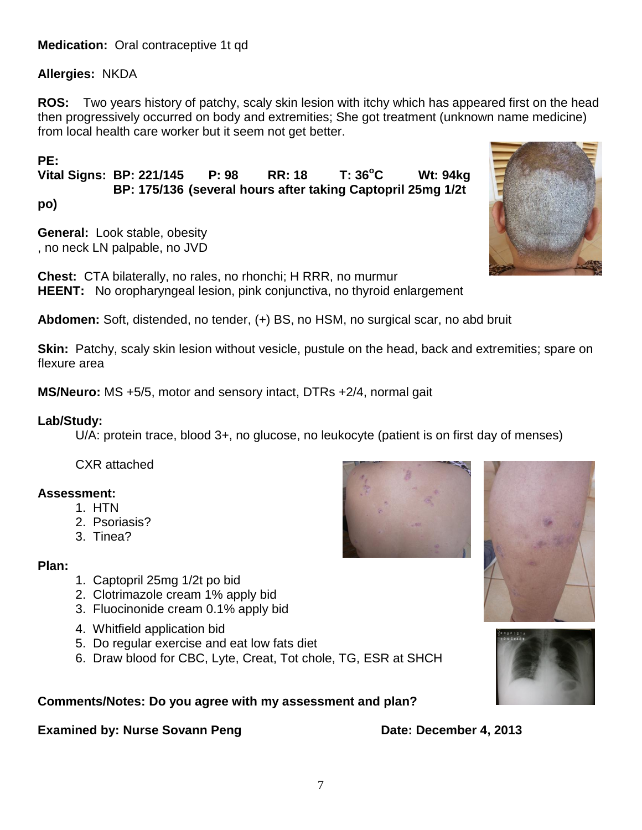# **Medication:** Oral contraceptive 1t qd

# **Allergies:** NKDA

**ROS:** Two years history of patchy, scaly skin lesion with itchy which has appeared first on the head then progressively occurred on body and extremities; She got treatment (unknown name medicine) from local health care worker but it seem not get better.

# **PE:**

**Vital Signs: BP: 221/145 P: 98 RR: 18 T: 36<sup>o</sup>C Wt: 94kg BP: 175/136 (several hours after taking Captopril 25mg 1/2t** 

**po)**

**General:** Look stable, obesity , no neck LN palpable, no JVD

**Chest:** CTA bilaterally, no rales, no rhonchi; H RRR, no murmur **HEENT:** No oropharyngeal lesion, pink conjunctiva, no thyroid enlargement

**Abdomen:** Soft, distended, no tender, (+) BS, no HSM, no surgical scar, no abd bruit

**Skin:** Patchy, scaly skin lesion without vesicle, pustule on the head, back and extremities; spare on flexure area

**MS/Neuro:** MS +5/5, motor and sensory intact, DTRs +2/4, normal gait

# **Lab/Study:**

U/A: protein trace, blood 3+, no glucose, no leukocyte (patient is on first day of menses)

CXR attached

# **Assessment:**

- 1. HTN
- 2. Psoriasis?
- 3. Tinea?

# **Plan:**

- 1. Captopril 25mg 1/2t po bid
- 2. Clotrimazole cream 1% apply bid
- 3. Fluocinonide cream 0.1% apply bid
- 4. Whitfield application bid
- 5. Do regular exercise and eat low fats diet
- 6. Draw blood for CBC, Lyte, Creat, Tot chole, TG, ESR at SHCH

**Comments/Notes: Do you agree with my assessment and plan?**

# **Examined by: Nurse Sovann Peng Date: December 4, 2013**







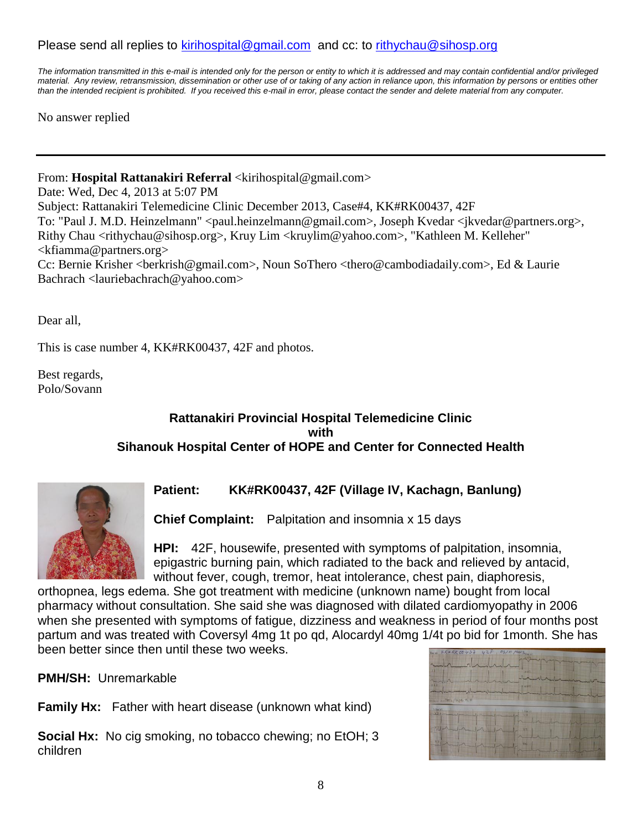# Please send all replies to [kirihospital@gmail.com](mailto:kirihospital@gmail.com) and cc: to [rithychau@sihosp.org](mailto:rithychau@sihosp.org)

*The information transmitted in this e-mail is intended only for the person or entity to which it is addressed and may contain confidential and/or privileged material. Any review, retransmission, dissemination or other use of or taking of any action in reliance upon, this information by persons or entities other than the intended recipient is prohibited. If you received this e-mail in error, please contact the sender and delete material from any computer.*

No answer replied

From: **Hospital Rattanakiri Referral** <kirihospital@gmail.com>

Date: Wed, Dec 4, 2013 at 5:07 PM Subject: Rattanakiri Telemedicine Clinic December 2013, Case#4, KK#RK00437, 42F To: "Paul J. M.D. Heinzelmann" <paul.heinzelmann@gmail.com>, Joseph Kvedar <jkvedar@partners.org>, Rithy Chau <rithychau@sihosp.org>, Kruy Lim <kruylim@yahoo.com>, "Kathleen M. Kelleher" <kfiamma@partners.org> Cc: Bernie Krisher <br/> <br/>berkrish@gmail.com>, Noun SoThero <thero@cambodiadaily.com>, Ed & Laurie Bachrach <lauriebachrach@yahoo.com>

Dear all,

This is case number 4, KK#RK00437, 42F and photos.

Best regards, Polo/Sovann

# **Rattanakiri Provincial Hospital Telemedicine Clinic with Sihanouk Hospital Center of HOPE and Center for Connected Health**



# **Patient: KK#RK00437, 42F (Village IV, Kachagn, Banlung)**

**Chief Complaint:** Palpitation and insomnia x 15 days

**HPI:** 42F, housewife, presented with symptoms of palpitation, insomnia, epigastric burning pain, which radiated to the back and relieved by antacid, without fever, cough, tremor, heat intolerance, chest pain, diaphoresis,

orthopnea, legs edema. She got treatment with medicine (unknown name) bought from local pharmacy without consultation. She said she was diagnosed with dilated cardiomyopathy in 2006 when she presented with symptoms of fatigue, dizziness and weakness in period of four months post partum and was treated with Coversyl 4mg 1t po qd, Alocardyl 40mg 1/4t po bid for 1month. She has been better since then until these two weeks.

**PMH/SH:** Unremarkable

**Family Hx:** Father with heart disease (unknown what kind)

**Social Hx:** No cig smoking, no tobacco chewing; no EtOH; 3 children

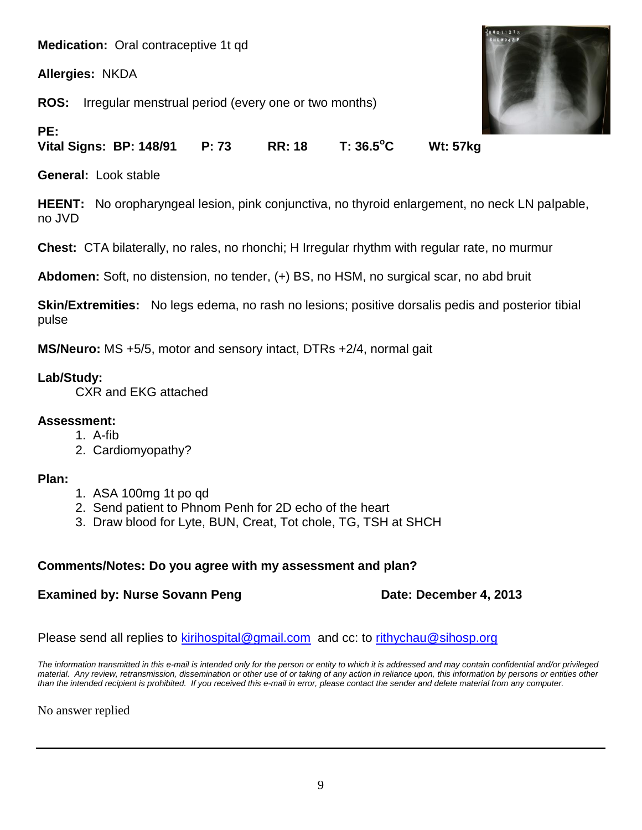**Medication:** Oral contraceptive 1t qd

**Allergies:** NKDA

**PE:**

**ROS:** Irregular menstrual period (every one or two months)



**Vital Signs: BP: 148/91 P: 73 RR: 18 T: 36.5<sup>o</sup>C Wt: 57kg** 

**General:** Look stable

**HEENT:** No oropharyngeal lesion, pink conjunctiva, no thyroid enlargement, no neck LN palpable, no JVD

**Chest:** CTA bilaterally, no rales, no rhonchi; H Irregular rhythm with regular rate, no murmur

**Abdomen:** Soft, no distension, no tender, (+) BS, no HSM, no surgical scar, no abd bruit

**Skin/Extremities:** No legs edema, no rash no lesions; positive dorsalis pedis and posterior tibial pulse

**MS/Neuro:** MS +5/5, motor and sensory intact, DTRs +2/4, normal gait

# **Lab/Study:**

CXR and EKG attached

# **Assessment:**

- 1. A-fib
- 2. Cardiomyopathy?

# **Plan:**

- 1. ASA 100mg 1t po qd
- 2. Send patient to Phnom Penh for 2D echo of the heart
- 3. Draw blood for Lyte, BUN, Creat, Tot chole, TG, TSH at SHCH

# **Comments/Notes: Do you agree with my assessment and plan?**

# **Examined by: Nurse Sovann Peng Date: December 4, 2013**

Please send all replies to [kirihospital@gmail.com](mailto:kirihospital@gmail.com) and cc: to [rithychau@sihosp.org](mailto:rithychau@sihosp.org)

*The information transmitted in this e-mail is intended only for the person or entity to which it is addressed and may contain confidential and/or privileged material. Any review, retransmission, dissemination or other use of or taking of any action in reliance upon, this information by persons or entities other than the intended recipient is prohibited. If you received this e-mail in error, please contact the sender and delete material from any computer.*

No answer replied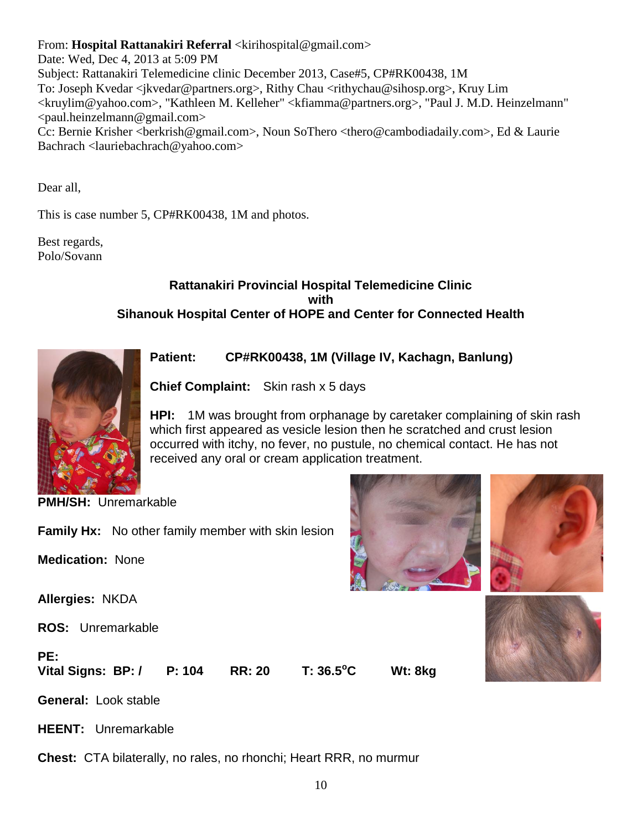From: **Hospital Rattanakiri Referral** <kirihospital@gmail.com>

Date: Wed, Dec 4, 2013 at 5:09 PM Subject: Rattanakiri Telemedicine clinic December 2013, Case#5, CP#RK00438, 1M To: Joseph Kvedar <jkvedar@partners.org>, Rithy Chau <rithychau@sihosp.org>, Kruy Lim <kruylim@yahoo.com>, "Kathleen M. Kelleher" <kfiamma@partners.org>, "Paul J. M.D. Heinzelmann" <paul.heinzelmann@gmail.com> Cc: Bernie Krisher <br/>berkrish@gmail.com>, Noun SoThero <thero@cambodiadaily.com>, Ed & Laurie Bachrach <lauriebachrach@yahoo.com>

Dear all,

This is case number 5, CP#RK00438, 1M and photos.

Best regards, Polo/Sovann

# **Rattanakiri Provincial Hospital Telemedicine Clinic with Sihanouk Hospital Center of HOPE and Center for Connected Health**



**Patient: CP#RK00438, 1M (Village IV, Kachagn, Banlung)** 

**Chief Complaint:** Skin rash x 5 days

**HPI:** 1M was brought from orphanage by caretaker complaining of skin rash which first appeared as vesicle lesion then he scratched and crust lesion occurred with itchy, no fever, no pustule, no chemical contact. He has not received any oral or cream application treatment.

**PMH/SH:** Unremarkable

**Family Hx:** No other family member with skin lesion

**Medication:** None

**Allergies:** NKDA

**ROS:** Unremarkable

**PE:**

**Vital Signs: BP: / P: 104 RR: 20 T: 36.5<sup>o</sup>C Wt: 8kg** 



**HEENT:** Unremarkable

**Chest:** CTA bilaterally, no rales, no rhonchi; Heart RRR, no murmur



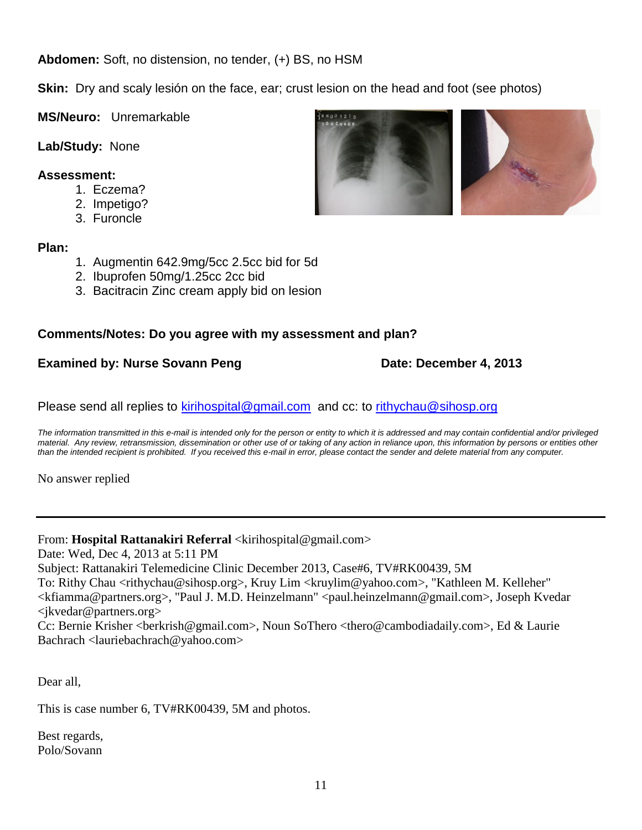**Abdomen:** Soft, no distension, no tender, (+) BS, no HSM

**Skin:** Dry and scaly lesión on the face, ear; crust lesion on the head and foot (see photos)

**MS/Neuro:** Unremarkable

**Lab/Study:** None

# **Assessment:**

- 1. Eczema?
- 2. Impetigo?
- 3. Furoncle

# **Plan:**

- 1. Augmentin 642.9mg/5cc 2.5cc bid for 5d
- 2. Ibuprofen 50mg/1.25cc 2cc bid
- 3. Bacitracin Zinc cream apply bid on lesion

# **Comments/Notes: Do you agree with my assessment and plan?**

# **Examined by: Nurse Sovann Peng Date: December 4, 2013**

Please send all replies to [kirihospital@gmail.com](mailto:kirihospital@gmail.com) and cc: to [rithychau@sihosp.org](mailto:rithychau@sihosp.org)

*The information transmitted in this e-mail is intended only for the person or entity to which it is addressed and may contain confidential and/or privileged material. Any review, retransmission, dissemination or other use of or taking of any action in reliance upon, this information by persons or entities other than the intended recipient is prohibited. If you received this e-mail in error, please contact the sender and delete material from any computer.*

No answer replied

# From: **Hospital Rattanakiri Referral** <kirihospital@gmail.com>

Date: Wed, Dec 4, 2013 at 5:11 PM Subject: Rattanakiri Telemedicine Clinic December 2013, Case#6, TV#RK00439, 5M To: Rithy Chau <rithychau@sihosp.org>, Kruy Lim <kruylim@yahoo.com>, "Kathleen M. Kelleher" <kfiamma@partners.org>, "Paul J. M.D. Heinzelmann" <paul.heinzelmann@gmail.com>, Joseph Kvedar <jkvedar@partners.org> Cc: Bernie Krisher <br/>berkrish@gmail.com>, Noun SoThero <thero@cambodiadaily.com>, Ed & Laurie

Bachrach <lauriebachrach@yahoo.com>

Dear all,

This is case number 6, TV#RK00439, 5M and photos.

Best regards, Polo/Sovann

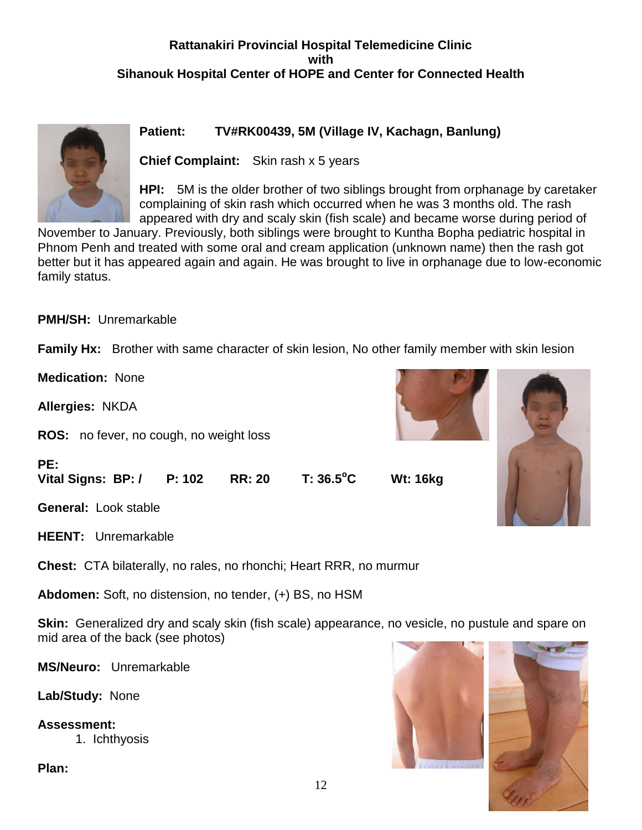# **Rattanakiri Provincial Hospital Telemedicine Clinic with Sihanouk Hospital Center of HOPE and Center for Connected Health**



# **Patient: TV#RK00439, 5M (Village IV, Kachagn, Banlung)**

**Chief Complaint:** Skin rash x 5 years

**HPI:** 5M is the older brother of two siblings brought from orphanage by caretaker complaining of skin rash which occurred when he was 3 months old. The rash appeared with dry and scaly skin (fish scale) and became worse during period of

November to January. Previously, both siblings were brought to Kuntha Bopha pediatric hospital in Phnom Penh and treated with some oral and cream application (unknown name) then the rash got better but it has appeared again and again. He was brought to live in orphanage due to low-economic family status.

**PMH/SH:** Unremarkable

**Family Hx:** Brother with same character of skin lesion, No other family member with skin lesion

**Medication:** None

**Allergies:** NKDA

**PE:**

**ROS:** no fever, no cough, no weight loss

**Vital Signs: BP: / P: 102 RR: 20 T: 36.5<sup>o</sup>C Wt: 16kg** 



**General:** Look stable

**HEENT:** Unremarkable

**Chest:** CTA bilaterally, no rales, no rhonchi; Heart RRR, no murmur

**Abdomen:** Soft, no distension, no tender, (+) BS, no HSM

**Skin:** Generalized dry and scaly skin (fish scale) appearance, no vesicle, no pustule and spare on mid area of the back (see photos)

**MS/Neuro:** Unremarkable

**Lab/Study:** None

**Assessment:** 1. Ichthyosis

**Plan:**



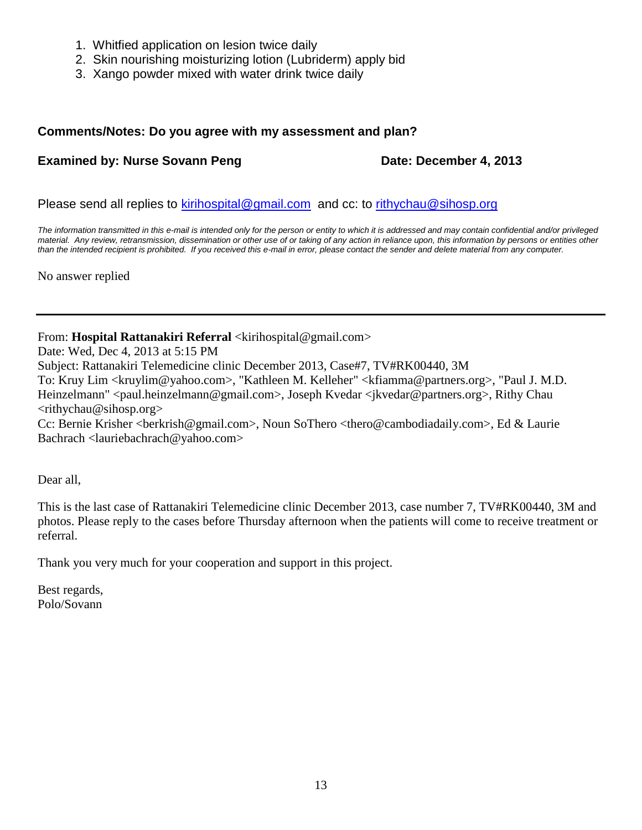- 1. Whitfied application on lesion twice daily
- 2. Skin nourishing moisturizing lotion (Lubriderm) apply bid
- 3. Xango powder mixed with water drink twice daily

# **Comments/Notes: Do you agree with my assessment and plan?**

# **Examined by: Nurse Sovann Peng Date: December 4, 2013**

Please send all replies to [kirihospital@gmail.com](mailto:kirihospital@gmail.com) and cc: to [rithychau@sihosp.org](mailto:rithychau@sihosp.org)

*The information transmitted in this e-mail is intended only for the person or entity to which it is addressed and may contain confidential and/or privileged*  material. Any review, retransmission, dissemination or other use of or taking of any action in reliance upon, this information by persons or entities other *than the intended recipient is prohibited. If you received this e-mail in error, please contact the sender and delete material from any computer.*

No answer replied

From: **Hospital Rattanakiri Referral** <kirihospital@gmail.com>

Date: Wed, Dec 4, 2013 at 5:15 PM

Subject: Rattanakiri Telemedicine clinic December 2013, Case#7, TV#RK00440, 3M

To: Kruy Lim <kruylim@yahoo.com>, "Kathleen M. Kelleher" <kfiamma@partners.org>, "Paul J. M.D. Heinzelmann" <paul.heinzelmann@gmail.com>, Joseph Kvedar <ikvedar@partners.org>, Rithy Chau  $\langle$ rithychau@sihosp.org $>$ 

Cc: Bernie Krisher <br/> <br/>berkrish@gmail.com>, Noun SoThero <thero@cambodiadaily.com>, Ed & Laurie Bachrach <lauriebachrach@yahoo.com>

Dear all,

This is the last case of Rattanakiri Telemedicine clinic December 2013, case number 7, TV#RK00440, 3M and photos. Please reply to the cases before Thursday afternoon when the patients will come to receive treatment or referral.

Thank you very much for your cooperation and support in this project.

Best regards, Polo/Sovann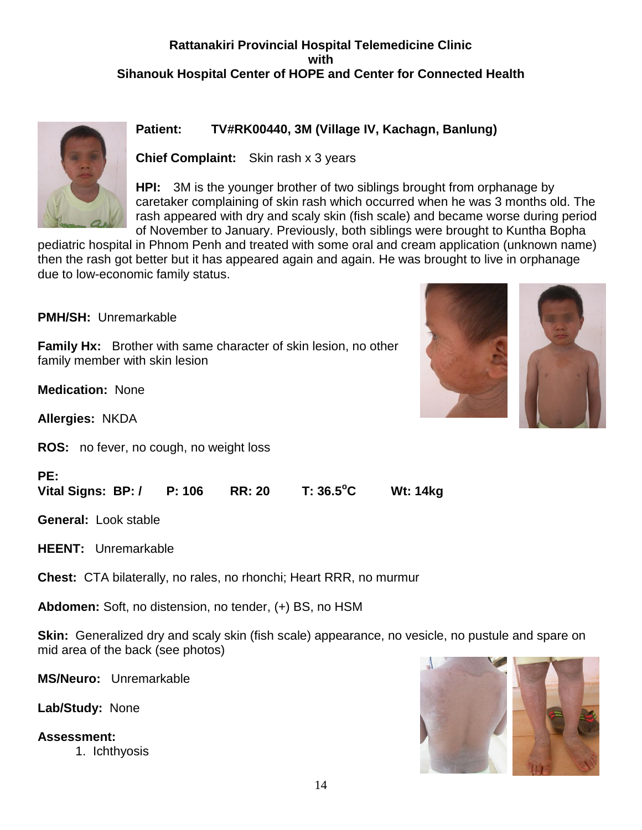# **Rattanakiri Provincial Hospital Telemedicine Clinic with Sihanouk Hospital Center of HOPE and Center for Connected Health**



# **Patient: TV#RK00440, 3M (Village IV, Kachagn, Banlung)**

**Chief Complaint:** Skin rash x 3 years

**HPI:** 3M is the younger brother of two siblings brought from orphanage by caretaker complaining of skin rash which occurred when he was 3 months old. The rash appeared with dry and scaly skin (fish scale) and became worse during period of November to January. Previously, both siblings were brought to Kuntha Bopha

pediatric hospital in Phnom Penh and treated with some oral and cream application (unknown name) then the rash got better but it has appeared again and again. He was brought to live in orphanage due to low-economic family status.

**PMH/SH:** Unremarkable

**Family Hx:** Brother with same character of skin lesion, no other family member with skin lesion

**Medication:** None

**Allergies:** NKDA

**ROS:** no fever, no cough, no weight loss



| PE:                       |               |           |                 |
|---------------------------|---------------|-----------|-----------------|
| Vital Signs: BP: / P: 106 | <b>RR: 20</b> | T: 36.5°C | <b>Wt: 14kg</b> |

**General:** Look stable

**HEENT:** Unremarkable

**Chest:** CTA bilaterally, no rales, no rhonchi; Heart RRR, no murmur

**Abdomen:** Soft, no distension, no tender, (+) BS, no HSM

**Skin:** Generalized dry and scaly skin (fish scale) appearance, no vesicle, no pustule and spare on mid area of the back (see photos)

**MS/Neuro:** Unremarkable

**Lab/Study:** None

**Assessment:**

1. Ichthyosis

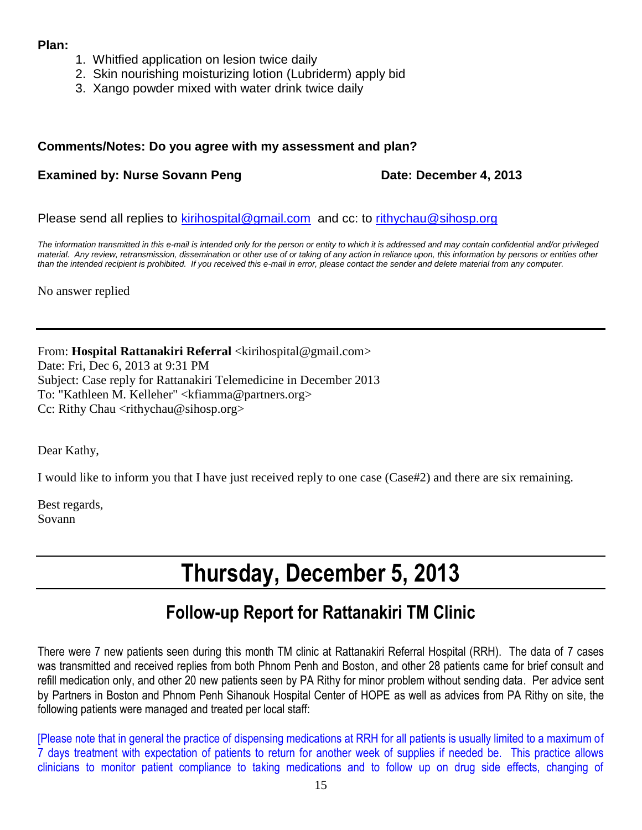# **Plan:**

- 1. Whitfied application on lesion twice daily
- 2. Skin nourishing moisturizing lotion (Lubriderm) apply bid
- 3. Xango powder mixed with water drink twice daily

# **Comments/Notes: Do you agree with my assessment and plan?**

# **Examined by: Nurse Sovann Peng Date: December 4, 2013**

Please send all replies to [kirihospital@gmail.com](mailto:kirihospital@gmail.com) and cc: to [rithychau@sihosp.org](mailto:rithychau@sihosp.org)

*The information transmitted in this e-mail is intended only for the person or entity to which it is addressed and may contain confidential and/or privileged material. Any review, retransmission, dissemination or other use of or taking of any action in reliance upon, this information by persons or entities other than the intended recipient is prohibited. If you received this e-mail in error, please contact the sender and delete material from any computer.*

No answer replied

From: Hospital Rattanakiri Referral <kirihospital@gmail.com> Date: Fri, Dec 6, 2013 at 9:31 PM Subject: Case reply for Rattanakiri Telemedicine in December 2013 To: "Kathleen M. Kelleher" <kfiamma@partners.org> Cc: Rithy Chau <rithychau@sihosp.org>

Dear Kathy,

I would like to inform you that I have just received reply to one case (Case#2) and there are six remaining.

Best regards, Sovann

# **Thursday, December 5, 2013**

# **Follow-up Report for Rattanakiri TM Clinic**

There were 7 new patients seen during this month TM clinic at Rattanakiri Referral Hospital (RRH). The data of 7 cases was transmitted and received replies from both Phnom Penh and Boston, and other 28 patients came for brief consult and refill medication only, and other 20 new patients seen by PA Rithy for minor problem without sending data. Per advice sent by Partners in Boston and Phnom Penh Sihanouk Hospital Center of HOPE as well as advices from PA Rithy on site, the following patients were managed and treated per local staff:

[Please note that in general the practice of dispensing medications at RRH for all patients is usually limited to a maximum of 7 days treatment with expectation of patients to return for another week of supplies if needed be. This practice allows clinicians to monitor patient compliance to taking medications and to follow up on drug side effects, changing of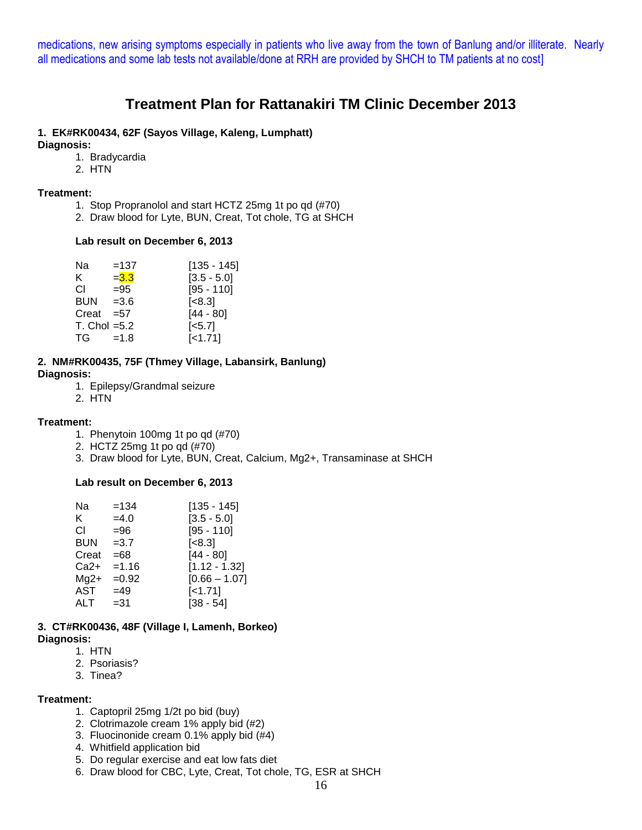medications, new arising symptoms especially in patients who live away from the town of Banlung and/or illiterate. Nearly all medications and some lab tests not available/done at RRH are provided by SHCH to TM patients at no cost]

# **Treatment Plan for Rattanakiri TM Clinic December 2013**

# **1. EK#RK00434, 62F (Sayos Village, Kaleng, Lumphatt)**

**Diagnosis:**

- 1. Bradycardia
- 2. HTN

#### **Treatment:**

- 1. Stop Propranolol and start HCTZ 25mg 1t po qd (#70)
- 2. Draw blood for Lyte, BUN, Creat, Tot chole, TG at SHCH

# **Lab result on December 6, 2013**

| Na                | $=137$  | $[135 - 145]$          |
|-------------------|---------|------------------------|
| K.                | $= 3.3$ | $[3.5 - 5.0]$          |
| СI                | =95     | $[95 - 110]$           |
| <b>BUN</b>        | $=3.6$  | $\left[ < 8.3 \right]$ |
| Creat             | $= 57$  | $[44 - 80]$            |
| $T.$ Chol = $5.2$ |         | $[-5.7]$               |
| TG a              | $=1.8$  | $[-1.71]$              |
|                   |         |                        |

#### **2. NM#RK00435, 75F (Thmey Village, Labansirk, Banlung) Diagnosis:**

- 1. Epilepsy/Grandmal seizure
- 2. HTN

# **Treatment:**

- 1. Phenytoin 100mg 1t po qd (#70)
- 2. HCTZ 25mg 1t po qd (#70)
- 3. Draw blood for Lyte, BUN, Creat, Calcium, Mg2+, Transaminase at SHCH

# **Lab result on December 6, 2013**

| Na         | $=134$  | [135 - 145]     |
|------------|---------|-----------------|
| ĸ          | $=4.0$  | $[3.5 - 5.0]$   |
| СI         | $= 96$  | $[95 - 110]$    |
| <b>BUN</b> | $=3.7$  | [<8.3]          |
| Creat      | $=68$   | $[44 - 80]$     |
| Ca2+       | $=1.16$ | $[1.12 - 1.32]$ |
| $Mq2+$     | $=0.92$ | $[0.66 - 1.07]$ |
| AST        | $=49$   | $[-1.71]$       |
| ALT        | =31     | $[38 - 54]$     |
|            |         |                 |

#### **3. CT#RK00436, 48F (Village I, Lamenh, Borkeo) Diagnosis:**

1. HTN

- 2. Psoriasis?
- 3. Tinea?

#### **Treatment:**

- 1. Captopril 25mg 1/2t po bid (buy)
- 2. Clotrimazole cream 1% apply bid (#2)
- 3. Fluocinonide cream 0.1% apply bid (#4)
- 4. Whitfield application bid
- 5. Do regular exercise and eat low fats diet
- 6. Draw blood for CBC, Lyte, Creat, Tot chole, TG, ESR at SHCH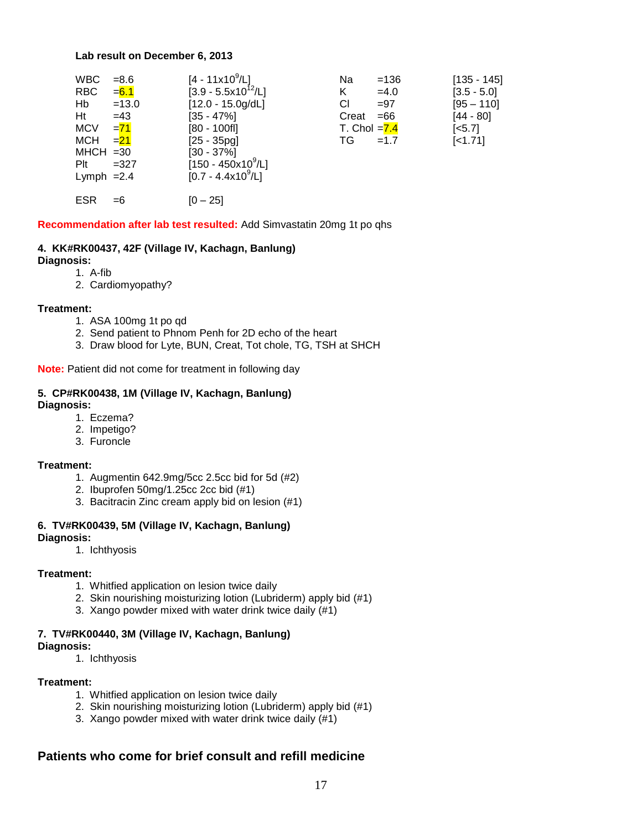#### **Lab result on December 6, 2013**

| <b>WBC</b><br><b>RBC</b><br>Hb<br>Ht<br><b>MCV</b><br><b>MCH</b><br>$MHCH = 30$<br>$P$ It | $= 8.6$<br>$= 6.1$<br>$=13.0$<br>$=43$<br>$= 71$<br>$=21$<br>$=327$ | $[4 - 11 \times 10^9 / L]$<br>$[3.9 - 5.5x10^{12}/L]$<br>$[12.0 - 15.0g/dL]$<br>$[35 - 47\%]$<br>$[80 - 100$ fl]<br>$[25 - 35pq]$<br>$[30 - 37\%]$<br>$[150 - 450 \times 10^9/\text{L}]$ | Na<br>K<br>СI<br>Creat<br>T. Chol $=7.4$<br>TG | $=136$<br>$=4.0$<br>$= 97$<br>$=66$<br>$=1.7$ | $[135 - 145]$<br>$[3.5 - 5.0]$<br>$[95 - 110]$<br>[44 - 80]<br>$\left[ <5.7 \right]$<br>$[-1.71]$ |
|-------------------------------------------------------------------------------------------|---------------------------------------------------------------------|------------------------------------------------------------------------------------------------------------------------------------------------------------------------------------------|------------------------------------------------|-----------------------------------------------|---------------------------------------------------------------------------------------------------|
| Lymph $=2.4$                                                                              |                                                                     | $[0.7 - 4.4x10^9/L]$                                                                                                                                                                     |                                                |                                               |                                                                                                   |
| <b>ESR</b>                                                                                | $=6$                                                                | $[0 - 25]$                                                                                                                                                                               |                                                |                                               |                                                                                                   |

#### **Recommendation after lab test resulted:** Add Simvastatin 20mg 1t po qhs

# **4. KK#RK00437, 42F (Village IV, Kachagn, Banlung)**

**Diagnosis:**

1. A-fib 2. Cardiomyopathy?

#### **Treatment:**

- 1. ASA 100mg 1t po qd
- 2. Send patient to Phnom Penh for 2D echo of the heart
- 3. Draw blood for Lyte, BUN, Creat, Tot chole, TG, TSH at SHCH

**Note:** Patient did not come for treatment in following day

#### **5. CP#RK00438, 1M (Village IV, Kachagn, Banlung) Diagnosis:**

- 1. Eczema?
- 2. Impetigo?
- 3. Furoncle

#### **Treatment:**

- 1. Augmentin 642.9mg/5cc 2.5cc bid for 5d (#2)
- 2. Ibuprofen 50mg/1.25cc 2cc bid (#1)
- 3. Bacitracin Zinc cream apply bid on lesion (#1)

#### **6. TV#RK00439, 5M (Village IV, Kachagn, Banlung) Diagnosis:**

1. Ichthyosis

#### **Treatment:**

- 1. Whitfied application on lesion twice daily
- 2. Skin nourishing moisturizing lotion (Lubriderm) apply bid (#1)
- 3. Xango powder mixed with water drink twice daily (#1)

#### **7. TV#RK00440, 3M (Village IV, Kachagn, Banlung) Diagnosis:**

1. Ichthyosis

#### **Treatment:**

- 1. Whitfied application on lesion twice daily
- 2. Skin nourishing moisturizing lotion (Lubriderm) apply bid (#1)
- 3. Xango powder mixed with water drink twice daily (#1)

# **Patients who come for brief consult and refill medicine**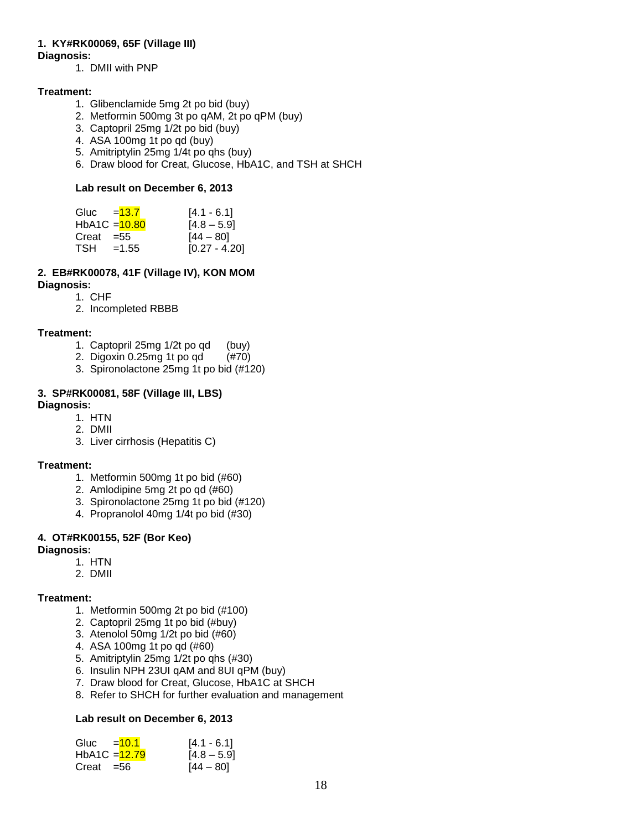# **1. KY#RK00069, 65F (Village III)**

# **Diagnosis:**

1. DMII with PNP

# **Treatment:**

- 1. Glibenclamide 5mg 2t po bid (buy)
- 2. Metformin 500mg 3t po qAM, 2t po qPM (buy)
- 3. Captopril 25mg 1/2t po bid (buy)
- 4. ASA 100mg 1t po qd (buy)
- 5. Amitriptylin 25mg 1/4t po qhs (buy)
- 6. Draw blood for Creat, Glucose, HbA1C, and TSH at SHCH

# **Lab result on December 6, 2013**

| Gluc = <del>13.7</del> |                 | $[4.1 - 6.1]$   |
|------------------------|-----------------|-----------------|
|                        | $HbA1C = 10.80$ | $[4.8 - 5.9]$   |
| $Creat = 55$           |                 | $[44 - 80]$     |
| TSH                    | $=1.55$         | $[0.27 - 4.20]$ |
|                        |                 |                 |

# **2. EB#RK00078, 41F (Village IV), KON MOM**

- **Diagnosis:**
	- 1. CHF 2. Incompleted RBBB
	-

# **Treatment:**

- 1. Captopril 25mg 1/2t po qd (buy)
- 2. Digoxin 0.25mg 1t po qd (#70)
- 3. Spironolactone 25mg 1t po bid (#120)

#### **3. SP#RK00081, 58F (Village III, LBS) Diagnosis:**

- 1. HTN
- 2. DMII
- 3. Liver cirrhosis (Hepatitis C)

# **Treatment:**

- 1. Metformin 500mg 1t po bid (#60)
- 2. Amlodipine 5mg 2t po qd (#60)
- 3. Spironolactone 25mg 1t po bid (#120)
- 4. Propranolol 40mg 1/4t po bid (#30)

# **4. OT#RK00155, 52F (Bor Keo)**

# **Diagnosis:**

- 1. HTN
- 2. DMII

# **Treatment:**

- 1. Metformin 500mg 2t po bid (#100)
- 2. Captopril 25mg 1t po bid (#buy)
- 3. Atenolol 50mg 1/2t po bid (#60)
- 4. ASA 100mg 1t po qd (#60)
- 5. Amitriptylin 25mg 1/2t po qhs (#30)
- 6. Insulin NPH 23UI qAM and 8UI qPM (buy)
- 7. Draw blood for Creat, Glucose, HbA1C at SHCH
- 8. Refer to SHCH for further evaluation and management

# **Lab result on December 6, 2013**

| Gluc $=10.1$    | $[4.1 - 6.1]$ |
|-----------------|---------------|
| $HbA1C = 12.79$ | $[4.8 - 5.9]$ |
| $Creat = 56$    | $[44 - 80]$   |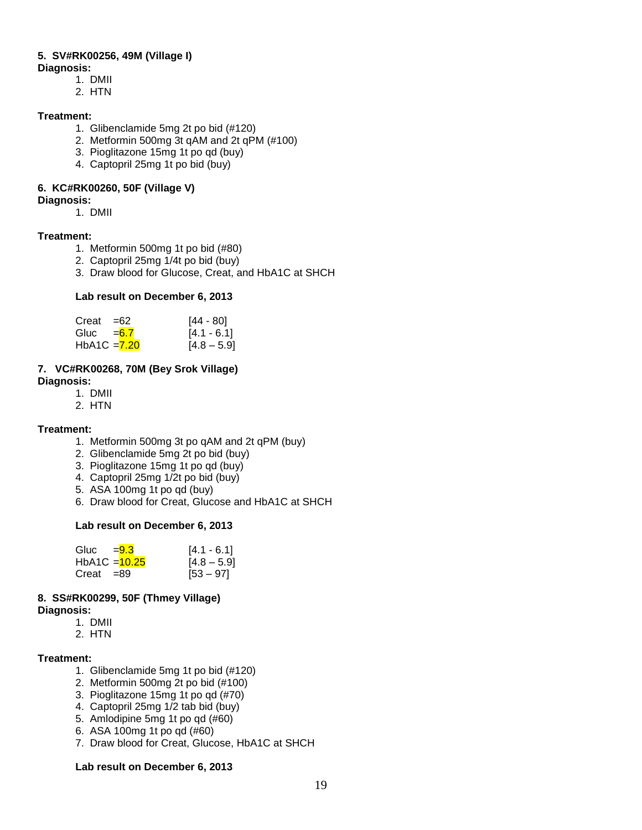#### **5. SV#RK00256, 49M (Village I) Diagnosis:**

1. DMII

- 2. HTN
- 

# **Treatment:**

- 1. Glibenclamide 5mg 2t po bid (#120)
- 2. Metformin 500mg 3t qAM and 2t qPM (#100)
- 3. Pioglitazone 15mg 1t po qd (buy)
- 4. Captopril 25mg 1t po bid (buy)

# **6. KC#RK00260, 50F (Village V)**

# **Diagnosis:**

1. DMII

# **Treatment:**

- 1. Metformin 500mg 1t po bid (#80)
- 2. Captopril 25mg 1/4t po bid (buy)
- 3. Draw blood for Glucose, Creat, and HbA1C at SHCH

# **Lab result on December 6, 2013**

| Creat          | $=62$ | [44 - 80]     |
|----------------|-------|---------------|
| Gluc = $6.7$   |       | $[4.1 - 6.1]$ |
| $HbA1C = 7.20$ |       | $[4.8 - 5.9]$ |

# **7. VC#RK00268, 70M (Bey Srok Village)**

**Diagnosis:** 

- 1. DMII
- 2. HTN

# **Treatment:**

- 1. Metformin 500mg 3t po qAM and 2t qPM (buy)
- 2. Glibenclamide 5mg 2t po bid (buy)
- 3. Pioglitazone 15mg 1t po qd (buy)
- 4. Captopril 25mg 1/2t po bid (buy)
- 5. ASA 100mg 1t po qd (buy)
- 6. Draw blood for Creat, Glucose and HbA1C at SHCH

# **Lab result on December 6, 2013**

| Gluc $=9.3$   | $[4.1 - 6.1]$ |
|---------------|---------------|
| HbA1C = 10.25 | $[4.8 - 5.9]$ |
| $Creat = 89$  | $[53 - 97]$   |

# **8. SS#RK00299, 50F (Thmey Village)**

# **Diagnosis:**

- 1. DMII
- 2. HTN

# **Treatment:**

- 1. Glibenclamide 5mg 1t po bid (#120)
- 2. Metformin 500mg 2t po bid (#100)
- 3. Pioglitazone 15mg 1t po qd (#70)
- 4. Captopril 25mg 1/2 tab bid (buy)
- 5. Amlodipine 5mg 1t po qd (#60)
- 6. ASA 100mg 1t po qd (#60)
- 7. Draw blood for Creat, Glucose, HbA1C at SHCH

# **Lab result on December 6, 2013**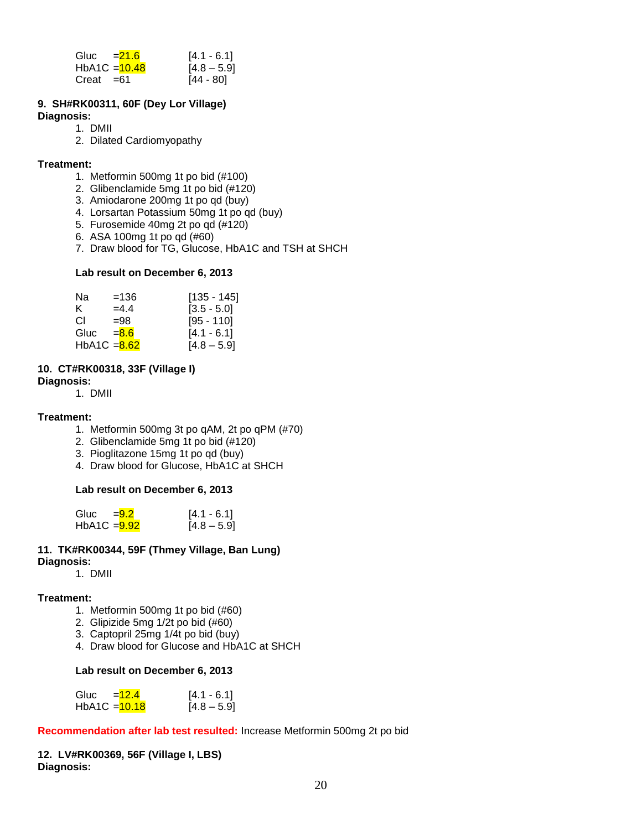| Gluc $=21.6$    | $[4.1 - 6.1]$ |
|-----------------|---------------|
| $HbA1C = 10.48$ | $[4.8 - 5.9]$ |
| $Creat = 61$    | $[44 - 80]$   |

# **9. SH#RK00311, 60F (Dey Lor Village)**

#### **Diagnosis:**

- 1. DMII
- 2. Dilated Cardiomyopathy

#### **Treatment:**

- 1. Metformin 500mg 1t po bid (#100)
- 2. Glibenclamide 5mg 1t po bid (#120)
- 3. Amiodarone 200mg 1t po qd (buy)
- 4. Lorsartan Potassium 50mg 1t po qd (buy)
- 5. Furosemide 40mg 2t po qd (#120)
- 6. ASA 100mg 1t po qd (#60)
- 7. Draw blood for TG, Glucose, HbA1C and TSH at SHCH

#### **Lab result on December 6, 2013**

| Na             | $=136$  | $[135 - 145]$ |
|----------------|---------|---------------|
| K.             | $=4.4$  | $[3.5 - 5.0]$ |
| CL.            | $=98$   | $[95 - 110]$  |
| Gluc           | $= 8.6$ | $[4.1 - 6.1]$ |
| HbA1C $= 8.62$ |         | $[4.8 - 5.9]$ |

# **10. CT#RK00318, 33F (Village I)**

**Diagnosis:** 

1. DMII

#### **Treatment:**

- 1. Metformin 500mg 3t po qAM, 2t po qPM (#70)
- 2. Glibenclamide 5mg 1t po bid (#120)
- 3. Pioglitazone 15mg 1t po qd (buy)
- 4. Draw blood for Glucose, HbA1C at SHCH

# **Lab result on December 6, 2013**

| Gluc $=9.2$    | $[4.1 - 6.1]$ |
|----------------|---------------|
| $HbA1C = 9.92$ | $[4.8 - 5.9]$ |

#### **11. TK#RK00344, 59F (Thmey Village, Ban Lung) Diagnosis:**

1. DMII

# **Treatment:**

- 1. Metformin 500mg 1t po bid (#60)
- 2. Glipizide 5mg 1/2t po bid (#60)
- 3. Captopril 25mg 1/4t po bid (buy)
- 4. Draw blood for Glucose and HbA1C at SHCH

#### **Lab result on December 6, 2013**

| Gluc            | $=12.4$ | $[4.1 - 6.1]$ |
|-----------------|---------|---------------|
| $HbA1C = 10.18$ |         | $[4.8 - 5.9]$ |

# **Recommendation after lab test resulted:** Increase Metformin 500mg 2t po bid

**12. LV#RK00369, 56F (Village I, LBS) Diagnosis:**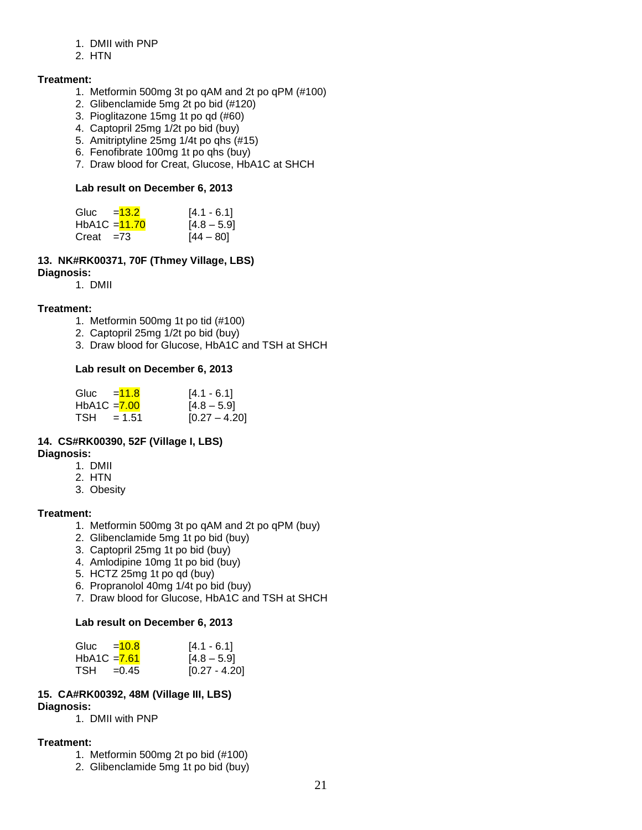#### 1. DMII with PNP

2. HTN

# **Treatment:**

- 1. Metformin 500mg 3t po qAM and 2t po qPM (#100)
- 2. Glibenclamide 5mg 2t po bid (#120)
- 3. Pioglitazone 15mg 1t po qd (#60)
- 4. Captopril 25mg 1/2t po bid (buy)
- 5. Amitriptyline 25mg 1/4t po qhs (#15)
- 6. Fenofibrate 100mg 1t po qhs (buy)
- 7. Draw blood for Creat, Glucose, HbA1C at SHCH

#### **Lab result on December 6, 2013**

| Gluc $=$ $\frac{13.2}{ }$ | $[4.1 - 6.1]$ |
|---------------------------|---------------|
| HbA1C = 11.70             | $[4.8 - 5.9]$ |
| Creat $=73$               | $[44 - 80]$   |

# **13. NK#RK00371, 70F (Thmey Village, LBS)**

**Diagnosis:**

1. DMII

# **Treatment:**

- 1. Metformin 500mg 1t po tid (#100)
- 2. Captopril 25mg 1/2t po bid (buy)
- 3. Draw blood for Glucose, HbA1C and TSH at SHCH

# **Lab result on December 6, 2013**

| Gluc         | $= 11.8$ | $[4.1 - 6.1]$   |
|--------------|----------|-----------------|
| HbA1C = 7.00 |          | $[4.8 - 5.9]$   |
| TSH          | $= 1.51$ | $[0.27 - 4.20]$ |

# **14. CS#RK00390, 52F (Village I, LBS)**

# **Diagnosis:**

- 1. DMII
- 2. HTN
- 3. Obesity

# **Treatment:**

- 1. Metformin 500mg 3t po qAM and 2t po qPM (buy)
- 2. Glibenclamide 5mg 1t po bid (buy)
- 3. Captopril 25mg 1t po bid (buy)
- 4. Amlodipine 10mg 1t po bid (buy)
- 5. HCTZ 25mg 1t po qd (buy)
- 6. Propranolol 40mg 1/4t po bid (buy)
- 7. Draw blood for Glucose, HbA1C and TSH at SHCH

# **Lab result on December 6, 2013**

| Gluc $=$ 10.8 |         | $[4.1 - 6.1]$   |
|---------------|---------|-----------------|
| HbA1C $=7.61$ |         | $[4.8 - 5.9]$   |
| TSH           | $=0.45$ | $[0.27 - 4.20]$ |

# **15. CA#RK00392, 48M (Village III, LBS)**

# **Diagnosis:**

1. DMII with PNP

# **Treatment:**

- 1. Metformin 500mg 2t po bid (#100)
- 2. Glibenclamide 5mg 1t po bid (buy)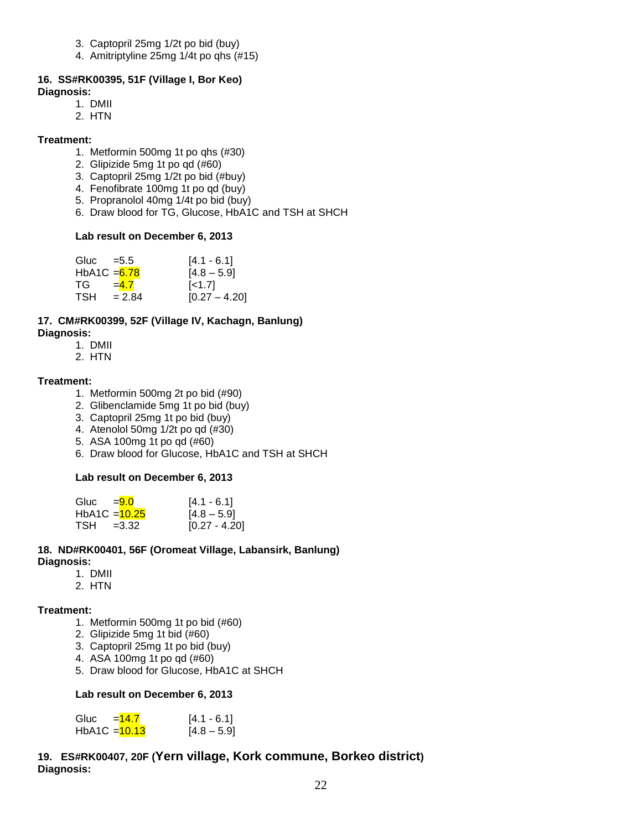- 3. Captopril 25mg 1/2t po bid (buy)
- 4. Amitriptyline 25mg 1/4t po qhs (#15)

#### **16. SS#RK00395, 51F (Village I, Bor Keo) Diagnosis:**

- 1. DMII
- 2. HTN

#### **Treatment:**

- 1. Metformin 500mg 1t po qhs (#30)
- 2. Glipizide 5mg 1t po qd (#60)
- 3. Captopril 25mg 1/2t po bid (#buy)
- 4. Fenofibrate 100mg 1t po qd (buy)
- 5. Propranolol 40mg 1/4t po bid (buy)
- 6. Draw blood for TG, Glucose, HbA1C and TSH at SHCH

#### **Lab result on December 6, 2013**

| Gluc $=5.5$    |          | $[4.1 - 6.1]$           |
|----------------|----------|-------------------------|
| HbA1C $= 6.78$ |          | $[4.8 - 5.9]$           |
| TG.            | $=4.7$   | $\left[$ <1.7 $\right]$ |
| <b>TSH</b>     | $= 2.84$ | $[0.27 - 4.20]$         |

#### **17. CM#RK00399, 52F (Village IV, Kachagn, Banlung) Diagnosis:**

- 1. DMII
- 2. HTN

#### **Treatment:**

- 1. Metformin 500mg 2t po bid (#90)
- 2. Glibenclamide 5mg 1t po bid (buy)
- 3. Captopril 25mg 1t po bid (buy)
- 4. Atenolol 50mg 1/2t po qd (#30)
- 5. ASA 100mg 1t po qd (#60)
- 6. Draw blood for Glucose, HbA1C and TSH at SHCH

# **Lab result on December 6, 2013**

| Gluc $=9.0$     | $[4.1 - 6.1]$   |
|-----------------|-----------------|
| $HbA1C = 10.25$ | $[4.8 - 5.9]$   |
| $TSH = 3.32$    | $[0.27 - 4.20]$ |

#### **18. ND#RK00401, 56F (Oromeat Village, Labansirk, Banlung) Diagnosis:**

- 1. DMII
- 2. HTN

#### **Treatment:**

- 1. Metformin 500mg 1t po bid (#60)
- 2. Glipizide 5mg 1t bid (#60)
- 3. Captopril 25mg 1t po bid (buy)
- 4. ASA 100mg 1t po qd (#60)
- 5. Draw blood for Glucose, HbA1C at SHCH

# **Lab result on December 6, 2013**

| Gluc | $=14.7$         | $[4.1 - 6.1]$ |
|------|-----------------|---------------|
|      | $HbA1C = 10.13$ | $[4.8 - 5.9]$ |

# **19. ES#RK00407, 20F (Yern village, Kork commune, Borkeo district) Diagnosis:**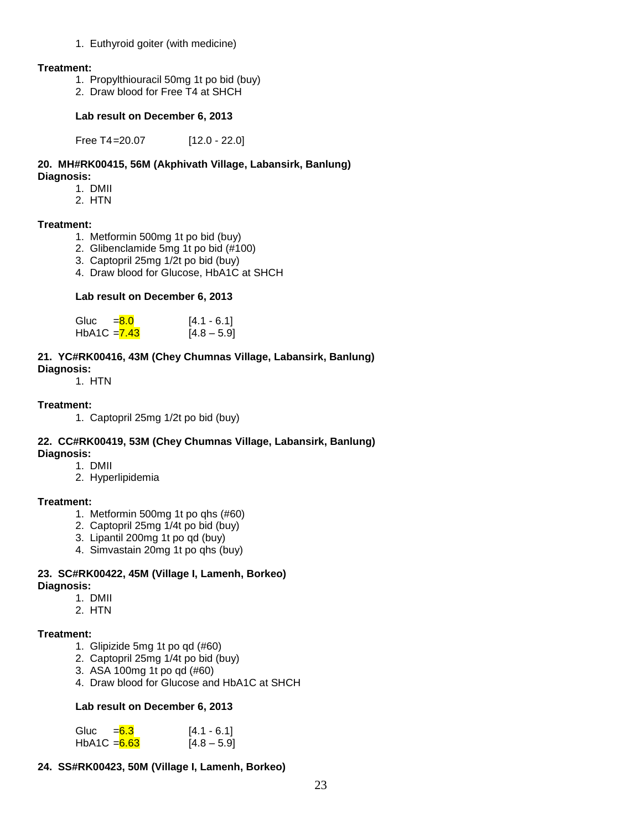#### 1. Euthyroid goiter (with medicine)

#### **Treatment:**

- 1. Propylthiouracil 50mg 1t po bid (buy)
- 2. Draw blood for Free T4 at SHCH

#### **Lab result on December 6, 2013**

Free T4=20.07 [12.0 - 22.0]

#### **20. MH#RK00415, 56M (Akphivath Village, Labansirk, Banlung) Diagnosis:**

- 1. DMII
	- 2. HTN

# **Treatment:**

- 1. Metformin 500mg 1t po bid (buy)
- 2. Glibenclamide 5mg 1t po bid (#100)
- 3. Captopril 25mg 1/2t po bid (buy)
- 4. Draw blood for Glucose, HbA1C at SHCH

#### **Lab result on December 6, 2013**

| Gluc         | $= 8.0$ | $[4.1 - 6.1]$ |
|--------------|---------|---------------|
| HbA1C = 7.43 |         | $[4.8 - 5.9]$ |

#### **21. YC#RK00416, 43M (Chey Chumnas Village, Labansirk, Banlung) Diagnosis:**

1. HTN

# **Treatment:**

1. Captopril 25mg 1/2t po bid (buy)

#### **22. CC#RK00419, 53M (Chey Chumnas Village, Labansirk, Banlung) Diagnosis:**

#### 1. DMII

2. Hyperlipidemia

# **Treatment:**

- 1. Metformin 500mg 1t po qhs (#60)
- 2. Captopril 25mg 1/4t po bid (buy)
- 3. Lipantil 200mg 1t po qd (buy)
- 4. Simvastain 20mg 1t po qhs (buy)

#### **23. SC#RK00422, 45M (Village I, Lamenh, Borkeo) Diagnosis:**

- 1. DMII
- 2. HTN

# **Treatment:**

- 1. Glipizide 5mg 1t po qd (#60)
- 2. Captopril 25mg 1/4t po bid (buy)
- 3. ASA 100mg 1t po qd (#60)
- 4. Draw blood for Glucose and HbA1C at SHCH

#### **Lab result on December 6, 2013**

| Gluc          | $= 6.3$ | $[4.1 - 6.1]$ |
|---------------|---------|---------------|
| HbA1C $=6.63$ |         | $[4.8 - 5.9]$ |

# **24. SS#RK00423, 50M (Village I, Lamenh, Borkeo)**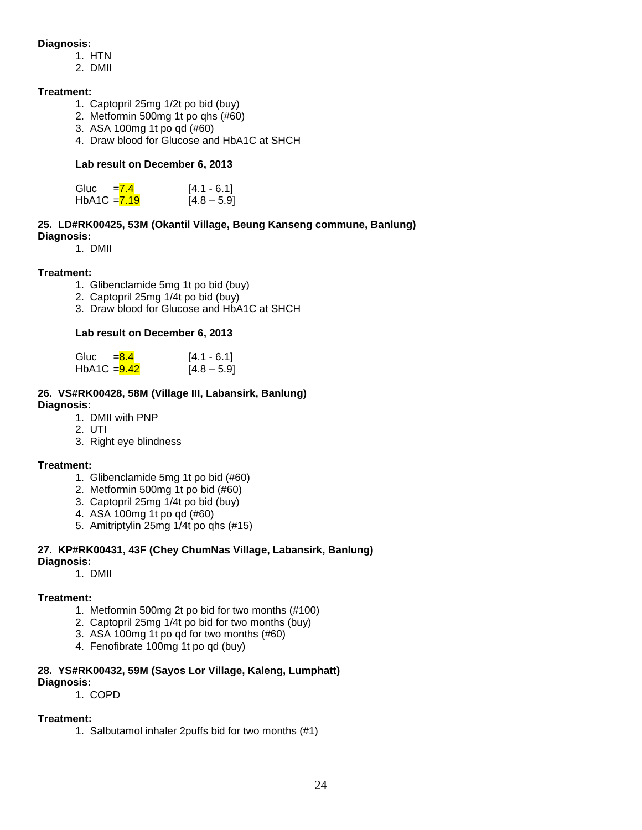#### **Diagnosis:**

- 1. HTN
- 2. DMII

#### **Treatment:**

- 1. Captopril 25mg 1/2t po bid (buy)
- 2. Metformin 500mg 1t po qhs (#60)
- 3. ASA 100mg 1t po qd (#60)
- 4. Draw blood for Glucose and HbA1C at SHCH

# **Lab result on December 6, 2013**

| Gluc           | $= 7.4$ | $[4.1 - 6.1]$ |
|----------------|---------|---------------|
| HbA1C $= 7.19$ |         | $[4.8 - 5.9]$ |

#### **25. LD#RK00425, 53M (Okantil Village, Beung Kanseng commune, Banlung) Diagnosis:**

1. DMII

# **Treatment:**

- 1. Glibenclamide 5mg 1t po bid (buy)
- 2. Captopril 25mg 1/4t po bid (buy)
- 3. Draw blood for Glucose and HbA1C at SHCH

# **Lab result on December 6, 2013**

| Gluc           | $= 8.4$ | $[4.1 - 6.1]$ |
|----------------|---------|---------------|
| HbA1C $=$ 9.42 |         | $[4.8 - 5.9]$ |

#### **26. VS#RK00428, 58M (Village III, Labansirk, Banlung) Diagnosis:**

- 1. DMII with PNP
- 2. UTI
- 3. Right eye blindness

# **Treatment:**

- 1. Glibenclamide 5mg 1t po bid (#60)
- 2. Metformin 500mg 1t po bid (#60)
- 3. Captopril 25mg 1/4t po bid (buy)
- 4. ASA 100mg 1t po qd (#60)
- 5. Amitriptylin 25mg 1/4t po qhs (#15)

# **27. KP#RK00431, 43F (Chey ChumNas Village, Labansirk, Banlung)**

# **Diagnosis:**

1. DMII

# **Treatment:**

- 1. Metformin 500mg 2t po bid for two months (#100)
- 2. Captopril 25mg 1/4t po bid for two months (buy)
- 3. ASA 100mg 1t po qd for two months (#60)
- 4. Fenofibrate 100mg 1t po qd (buy)

#### **28. YS#RK00432, 59M (Sayos Lor Village, Kaleng, Lumphatt) Diagnosis:**

1. COPD

# **Treatment:**

1. Salbutamol inhaler 2puffs bid for two months (#1)